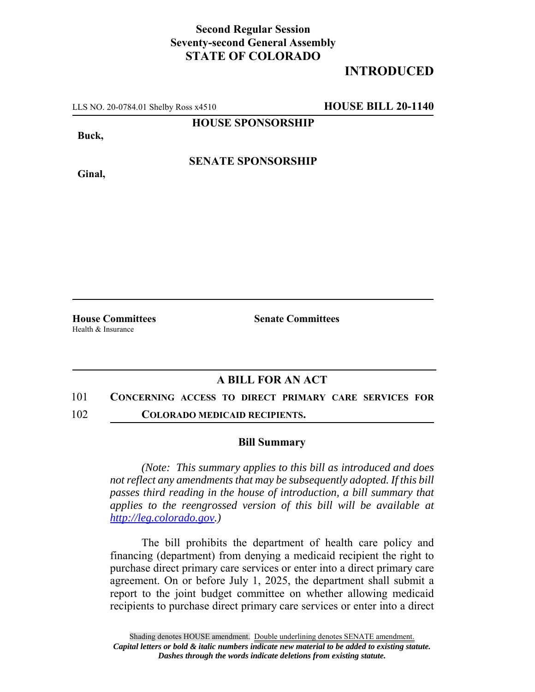## **Second Regular Session Seventy-second General Assembly STATE OF COLORADO**

## **INTRODUCED**

LLS NO. 20-0784.01 Shelby Ross x4510 **HOUSE BILL 20-1140**

**HOUSE SPONSORSHIP**

**Buck,**

**Ginal,**

**SENATE SPONSORSHIP**

Health & Insurance

**House Committees Senate Committees** 

### **A BILL FOR AN ACT**

# 101 **CONCERNING ACCESS TO DIRECT PRIMARY CARE SERVICES FOR**

102 **COLORADO MEDICAID RECIPIENTS.**

#### **Bill Summary**

*(Note: This summary applies to this bill as introduced and does not reflect any amendments that may be subsequently adopted. If this bill passes third reading in the house of introduction, a bill summary that applies to the reengrossed version of this bill will be available at http://leg.colorado.gov.)*

The bill prohibits the department of health care policy and financing (department) from denying a medicaid recipient the right to purchase direct primary care services or enter into a direct primary care agreement. On or before July 1, 2025, the department shall submit a report to the joint budget committee on whether allowing medicaid recipients to purchase direct primary care services or enter into a direct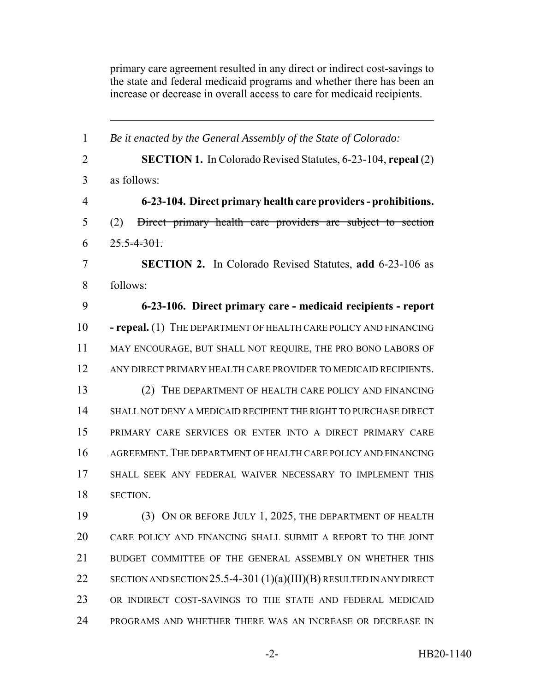primary care agreement resulted in any direct or indirect cost-savings to the state and federal medicaid programs and whether there has been an increase or decrease in overall access to care for medicaid recipients.

| $\mathbf{1}$   | Be it enacted by the General Assembly of the State of Colorado:        |
|----------------|------------------------------------------------------------------------|
| $\overline{2}$ | <b>SECTION 1.</b> In Colorado Revised Statutes, 6-23-104, repeal (2)   |
| 3              | as follows:                                                            |
| $\overline{4}$ | 6-23-104. Direct primary health care providers - prohibitions.         |
| 5              | Direct primary health care providers are subject to section<br>(2)     |
| 6              | $25.5 - 4 - 301.$                                                      |
| 7              | <b>SECTION 2.</b> In Colorado Revised Statutes, add 6-23-106 as        |
| 8              | follows:                                                               |
| 9              | 6-23-106. Direct primary care - medicaid recipients - report           |
| 10             | - repeal. (1) THE DEPARTMENT OF HEALTH CARE POLICY AND FINANCING       |
| 11             | MAY ENCOURAGE, BUT SHALL NOT REQUIRE, THE PRO BONO LABORS OF           |
| 12             | ANY DIRECT PRIMARY HEALTH CARE PROVIDER TO MEDICAID RECIPIENTS.        |
| 13             | (2) THE DEPARTMENT OF HEALTH CARE POLICY AND FINANCING                 |
| 14             | SHALL NOT DENY A MEDICAID RECIPIENT THE RIGHT TO PURCHASE DIRECT       |
| 15             | PRIMARY CARE SERVICES OR ENTER INTO A DIRECT PRIMARY CARE              |
| 16             | AGREEMENT. THE DEPARTMENT OF HEALTH CARE POLICY AND FINANCING          |
| 17             | SHALL SEEK ANY FEDERAL WAIVER NECESSARY TO IMPLEMENT THIS              |
| 18             | SECTION.                                                               |
| 19             | (3) ON OR BEFORE JULY 1, 2025, THE DEPARTMENT OF HEALTH                |
| 20             | CARE POLICY AND FINANCING SHALL SUBMIT A REPORT TO THE JOINT           |
| 21             | BUDGET COMMITTEE OF THE GENERAL ASSEMBLY ON WHETHER THIS               |
| 22             | SECTION AND SECTION 25.5-4-301 $(1)(a)(III)(B)$ RESULTED IN ANY DIRECT |
| 23             | OR INDIRECT COST-SAVINGS TO THE STATE AND FEDERAL MEDICAID             |
| 24             | PROGRAMS AND WHETHER THERE WAS AN INCREASE OR DECREASE IN              |